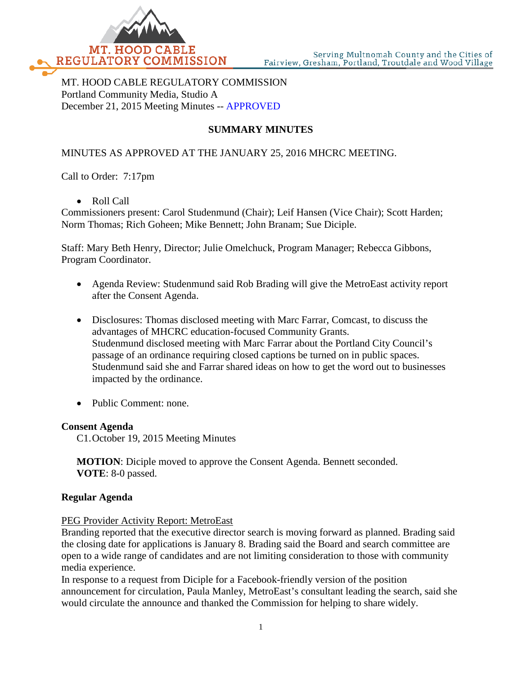

MT. HOOD CABLE REGULATORY COMMISSION Portland Community Media, Studio A December 21, 2015 Meeting Minutes -- APPROVED

# **SUMMARY MINUTES**

# MINUTES AS APPROVED AT THE JANUARY 25, 2016 MHCRC MEETING.

Call to Order: 7:17pm

• Roll Call

Commissioners present: Carol Studenmund (Chair); Leif Hansen (Vice Chair); Scott Harden; Norm Thomas; Rich Goheen; Mike Bennett; John Branam; Sue Diciple.

Staff: Mary Beth Henry, Director; Julie Omelchuck, Program Manager; Rebecca Gibbons, Program Coordinator.

- Agenda Review: Studenmund said Rob Brading will give the MetroEast activity report after the Consent Agenda.
- Disclosures: Thomas disclosed meeting with Marc Farrar, Comcast, to discuss the advantages of MHCRC education-focused Community Grants. Studenmund disclosed meeting with Marc Farrar about the Portland City Council's passage of an ordinance requiring closed captions be turned on in public spaces. Studenmund said she and Farrar shared ideas on how to get the word out to businesses impacted by the ordinance.
- Public Comment: none.

#### **Consent Agenda**

C1.October 19, 2015 Meeting Minutes

**MOTION**: Diciple moved to approve the Consent Agenda. Bennett seconded. **VOTE**: 8-0 passed.

#### **Regular Agenda**

#### PEG Provider Activity Report: MetroEast

Branding reported that the executive director search is moving forward as planned. Brading said the closing date for applications is January 8. Brading said the Board and search committee are open to a wide range of candidates and are not limiting consideration to those with community media experience.

In response to a request from Diciple for a Facebook-friendly version of the position announcement for circulation, Paula Manley, MetroEast's consultant leading the search, said she would circulate the announce and thanked the Commission for helping to share widely.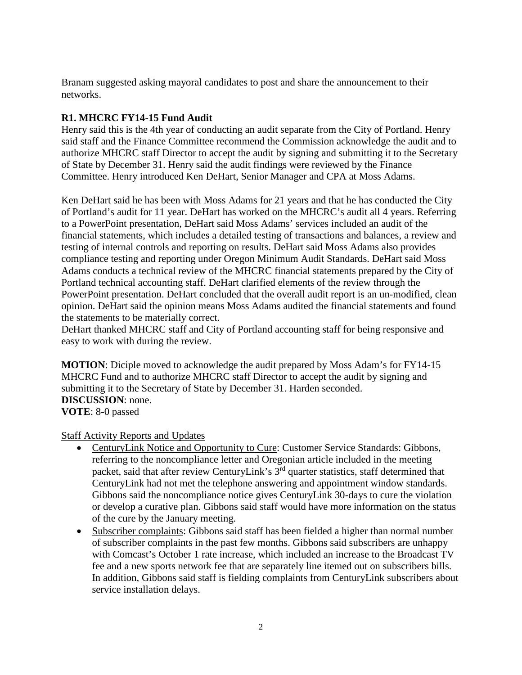Branam suggested asking mayoral candidates to post and share the announcement to their networks.

# **R1. MHCRC FY14-15 Fund Audit**

Henry said this is the 4th year of conducting an audit separate from the City of Portland. Henry said staff and the Finance Committee recommend the Commission acknowledge the audit and to authorize MHCRC staff Director to accept the audit by signing and submitting it to the Secretary of State by December 31. Henry said the audit findings were reviewed by the Finance Committee. Henry introduced Ken DeHart, Senior Manager and CPA at Moss Adams.

Ken DeHart said he has been with Moss Adams for 21 years and that he has conducted the City of Portland's audit for 11 year. DeHart has worked on the MHCRC's audit all 4 years. Referring to a PowerPoint presentation, DeHart said Moss Adams' services included an audit of the financial statements, which includes a detailed testing of transactions and balances, a review and testing of internal controls and reporting on results. DeHart said Moss Adams also provides compliance testing and reporting under Oregon Minimum Audit Standards. DeHart said Moss Adams conducts a technical review of the MHCRC financial statements prepared by the City of Portland technical accounting staff. DeHart clarified elements of the review through the PowerPoint presentation. DeHart concluded that the overall audit report is an un-modified, clean opinion. DeHart said the opinion means Moss Adams audited the financial statements and found the statements to be materially correct.

DeHart thanked MHCRC staff and City of Portland accounting staff for being responsive and easy to work with during the review.

**MOTION**: Diciple moved to acknowledge the audit prepared by Moss Adam's for FY14-15 MHCRC Fund and to authorize MHCRC staff Director to accept the audit by signing and submitting it to the Secretary of State by December 31. Harden seconded. **DISCUSSION**: none. **VOTE**: 8-0 passed

Staff Activity Reports and Updates

- CenturyLink Notice and Opportunity to Cure: Customer Service Standards: Gibbons, referring to the noncompliance letter and Oregonian article included in the meeting packet, said that after review CenturyLink's 3<sup>rd</sup> quarter statistics, staff determined that CenturyLink had not met the telephone answering and appointment window standards. Gibbons said the noncompliance notice gives CenturyLink 30-days to cure the violation or develop a curative plan. Gibbons said staff would have more information on the status of the cure by the January meeting.
- Subscriber complaints: Gibbons said staff has been fielded a higher than normal number of subscriber complaints in the past few months. Gibbons said subscribers are unhappy with Comcast's October 1 rate increase, which included an increase to the Broadcast TV fee and a new sports network fee that are separately line itemed out on subscribers bills. In addition, Gibbons said staff is fielding complaints from CenturyLink subscribers about service installation delays.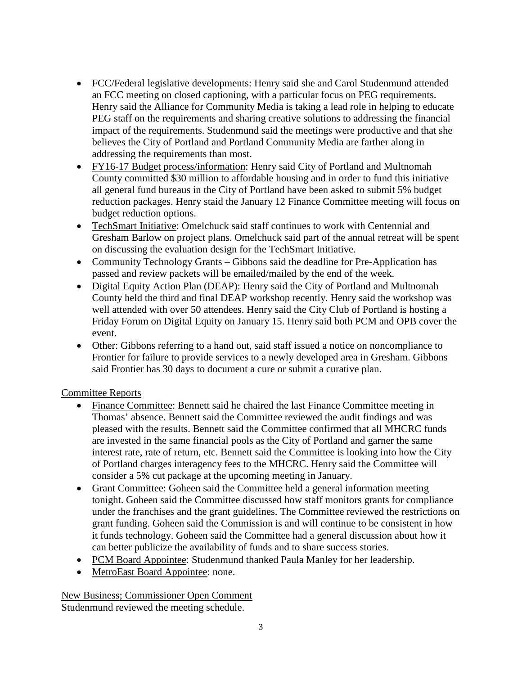- FCC/Federal legislative developments: Henry said she and Carol Studenmund attended an FCC meeting on closed captioning, with a particular focus on PEG requirements. Henry said the Alliance for Community Media is taking a lead role in helping to educate PEG staff on the requirements and sharing creative solutions to addressing the financial impact of the requirements. Studenmund said the meetings were productive and that she believes the City of Portland and Portland Community Media are farther along in addressing the requirements than most.
- FY16-17 Budget process/information: Henry said City of Portland and Multnomah County committed \$30 million to affordable housing and in order to fund this initiative all general fund bureaus in the City of Portland have been asked to submit 5% budget reduction packages. Henry staid the January 12 Finance Committee meeting will focus on budget reduction options.
- TechSmart Initiative: Omelchuck said staff continues to work with Centennial and Gresham Barlow on project plans. Omelchuck said part of the annual retreat will be spent on discussing the evaluation design for the TechSmart Initiative.
- Community Technology Grants Gibbons said the deadline for Pre-Application has passed and review packets will be emailed/mailed by the end of the week.
- Digital Equity Action Plan (DEAP): Henry said the City of Portland and Multnomah County held the third and final DEAP workshop recently. Henry said the workshop was well attended with over 50 attendees. Henry said the City Club of Portland is hosting a Friday Forum on Digital Equity on January 15. Henry said both PCM and OPB cover the event.
- Other: Gibbons referring to a hand out, said staff issued a notice on noncompliance to Frontier for failure to provide services to a newly developed area in Gresham. Gibbons said Frontier has 30 days to document a cure or submit a curative plan.

### Committee Reports

- Finance Committee: Bennett said he chaired the last Finance Committee meeting in Thomas' absence. Bennett said the Committee reviewed the audit findings and was pleased with the results. Bennett said the Committee confirmed that all MHCRC funds are invested in the same financial pools as the City of Portland and garner the same interest rate, rate of return, etc. Bennett said the Committee is looking into how the City of Portland charges interagency fees to the MHCRC. Henry said the Committee will consider a 5% cut package at the upcoming meeting in January.
- Grant Committee: Goheen said the Committee held a general information meeting tonight. Goheen said the Committee discussed how staff monitors grants for compliance under the franchises and the grant guidelines. The Committee reviewed the restrictions on grant funding. Goheen said the Commission is and will continue to be consistent in how it funds technology. Goheen said the Committee had a general discussion about how it can better publicize the availability of funds and to share success stories.
- PCM Board Appointee: Studenmund thanked Paula Manley for her leadership.
- MetroEast Board Appointee: none.

New Business; Commissioner Open Comment Studenmund reviewed the meeting schedule.